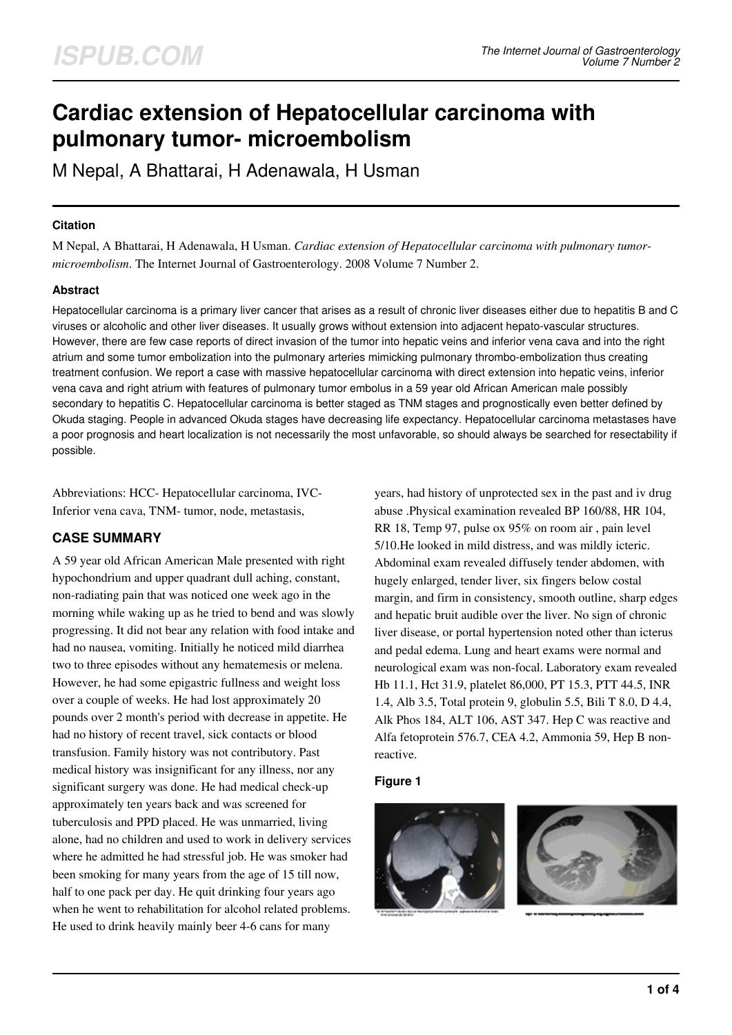# **Cardiac extension of Hepatocellular carcinoma with pulmonary tumor- microembolism**

M Nepal, A Bhattarai, H Adenawala, H Usman

## **Citation**

M Nepal, A Bhattarai, H Adenawala, H Usman. *Cardiac extension of Hepatocellular carcinoma with pulmonary tumormicroembolism*. The Internet Journal of Gastroenterology. 2008 Volume 7 Number 2.

## **Abstract**

Hepatocellular carcinoma is a primary liver cancer that arises as a result of chronic liver diseases either due to hepatitis B and C viruses or alcoholic and other liver diseases. It usually grows without extension into adjacent hepato-vascular structures. However, there are few case reports of direct invasion of the tumor into hepatic veins and inferior vena cava and into the right atrium and some tumor embolization into the pulmonary arteries mimicking pulmonary thrombo-embolization thus creating treatment confusion. We report a case with massive hepatocellular carcinoma with direct extension into hepatic veins, inferior vena cava and right atrium with features of pulmonary tumor embolus in a 59 year old African American male possibly secondary to hepatitis C. Hepatocellular carcinoma is better staged as TNM stages and prognostically even better defined by Okuda staging. People in advanced Okuda stages have decreasing life expectancy. Hepatocellular carcinoma metastases have a poor prognosis and heart localization is not necessarily the most unfavorable, so should always be searched for resectability if possible.

Abbreviations: HCC- Hepatocellular carcinoma, IVC-Inferior vena cava, TNM- tumor, node, metastasis,

## **CASE SUMMARY**

A 59 year old African American Male presented with right hypochondrium and upper quadrant dull aching, constant, non-radiating pain that was noticed one week ago in the morning while waking up as he tried to bend and was slowly progressing. It did not bear any relation with food intake and had no nausea, vomiting. Initially he noticed mild diarrhea two to three episodes without any hematemesis or melena. However, he had some epigastric fullness and weight loss over a couple of weeks. He had lost approximately 20 pounds over 2 month's period with decrease in appetite. He had no history of recent travel, sick contacts or blood transfusion. Family history was not contributory. Past medical history was insignificant for any illness, nor any significant surgery was done. He had medical check-up approximately ten years back and was screened for tuberculosis and PPD placed. He was unmarried, living alone, had no children and used to work in delivery services where he admitted he had stressful job. He was smoker had been smoking for many years from the age of 15 till now, half to one pack per day. He quit drinking four years ago when he went to rehabilitation for alcohol related problems. He used to drink heavily mainly beer 4-6 cans for many

years, had history of unprotected sex in the past and iv drug abuse .Physical examination revealed BP 160/88, HR 104, RR 18, Temp 97, pulse ox 95% on room air , pain level 5/10.He looked in mild distress, and was mildly icteric. Abdominal exam revealed diffusely tender abdomen, with hugely enlarged, tender liver, six fingers below costal margin, and firm in consistency, smooth outline, sharp edges and hepatic bruit audible over the liver. No sign of chronic liver disease, or portal hypertension noted other than icterus and pedal edema. Lung and heart exams were normal and neurological exam was non-focal. Laboratory exam revealed Hb 11.1, Hct 31.9, platelet 86,000, PT 15.3, PTT 44.5, INR 1.4, Alb 3.5, Total protein 9, globulin 5.5, Bili T 8.0, D 4.4, Alk Phos 184, ALT 106, AST 347. Hep C was reactive and Alfa fetoprotein 576.7, CEA 4.2, Ammonia 59, Hep B nonreactive.

#### **Figure 1**

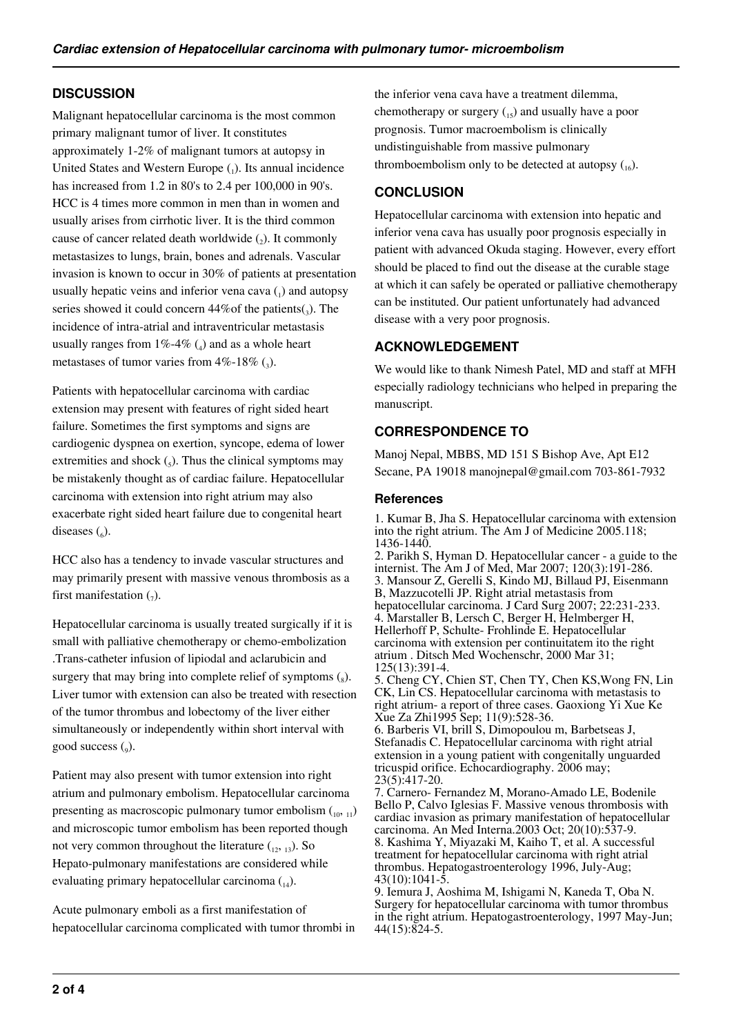## **DISCUSSION**

Malignant hepatocellular carcinoma is the most common primary malignant tumor of liver. It constitutes approximately 1-2% of malignant tumors at autopsy in United States and Western Europe  $(_{1})$ . Its annual incidence has increased from 1.2 in 80's to 2.4 per 100,000 in 90's. HCC is 4 times more common in men than in women and usually arises from cirrhotic liver. It is the third common cause of cancer related death worldwide  $(_{2})$ . It commonly metastasizes to lungs, brain, bones and adrenals. Vascular invasion is known to occur in 30% of patients at presentation usually hepatic veins and inferior vena cava  $\binom{1}{1}$  and autopsy series showed it could concern  $44\%$  of the patients( $_3$ ). The incidence of intra-atrial and intraventricular metastasis usually ranges from  $1\% - 4\%$  (<sub>4</sub>) and as a whole heart metastases of tumor varies from  $4\%$ -18% (3).

Patients with hepatocellular carcinoma with cardiac extension may present with features of right sided heart failure. Sometimes the first symptoms and signs are cardiogenic dyspnea on exertion, syncope, edema of lower extremities and shock  $\binom{1}{5}$ . Thus the clinical symptoms may be mistakenly thought as of cardiac failure. Hepatocellular carcinoma with extension into right atrium may also exacerbate right sided heart failure due to congenital heart diseases  $\binom{6}{6}$ .

HCC also has a tendency to invade vascular structures and may primarily present with massive venous thrombosis as a first manifestation  $\binom{1}{7}$ .

Hepatocellular carcinoma is usually treated surgically if it is small with palliative chemotherapy or chemo-embolization .Trans-catheter infusion of lipiodal and aclarubicin and surgery that may bring into complete relief of symptoms  $\binom{8}{8}$ . Liver tumor with extension can also be treated with resection of the tumor thrombus and lobectomy of the liver either simultaneously or independently within short interval with good success (9).

Patient may also present with tumor extension into right atrium and pulmonary embolism. Hepatocellular carcinoma presenting as macroscopic pulmonary tumor embolism  $\binom{10, 11}{10}$ and microscopic tumor embolism has been reported though not very common throughout the literature  $(1, 1, 1)$ . So Hepato-pulmonary manifestations are considered while evaluating primary hepatocellular carcinoma  $_{14}$ ).

Acute pulmonary emboli as a first manifestation of hepatocellular carcinoma complicated with tumor thrombi in

the inferior vena cava have a treatment dilemma, chemotherapy or surgery (15) and usually have a poor prognosis. Tumor macroembolism is clinically undistinguishable from massive pulmonary thromboembolism only to be detected at autopsy  $\binom{16}{16}$ .

## **CONCLUSION**

Hepatocellular carcinoma with extension into hepatic and inferior vena cava has usually poor prognosis especially in patient with advanced Okuda staging. However, every effort should be placed to find out the disease at the curable stage at which it can safely be operated or palliative chemotherapy can be instituted. Our patient unfortunately had advanced disease with a very poor prognosis.

## **ACKNOWLEDGEMENT**

We would like to thank Nimesh Patel, MD and staff at MFH especially radiology technicians who helped in preparing the manuscript.

## **CORRESPONDENCE TO**

Manoj Nepal, MBBS, MD 151 S Bishop Ave, Apt E12 Secane, PA 19018 manojnepal@gmail.com 703-861-7932

#### **References**

1. Kumar B, Jha S. Hepatocellular carcinoma with extension into the right atrium. The Am J of Medicine 2005.118; 1436-1440.

2. Parikh S, Hyman D. Hepatocellular cancer - a guide to the internist. The Am J of Med, Mar 2007; 120(3):191-286. 3. Mansour Z, Gerelli S, Kindo MJ, Billaud PJ, Eisenmann B, Mazzucotelli JP. Right atrial metastasis from hepatocellular carcinoma. J Card Surg 2007; 22:231-233. 4. Marstaller B, Lersch C, Berger H, Helmberger H, Hellerhoff P, Schulte- Frohlinde E. Hepatocellular carcinoma with extension per continuitatem ito the right atrium . Ditsch Med Wochenschr, 2000 Mar 31; 125(13):391-4.

5. Cheng CY, Chien ST, Chen TY, Chen KS,Wong FN, Lin CK, Lin CS. Hepatocellular carcinoma with metastasis to right atrium- a report of three cases. Gaoxiong Yi Xue Ke Xue Za Zhi1995 Sep; 11(9):528-36.

6. Barberis VI, brill S, Dimopoulou m, Barbetseas J, Stefanadis C. Hepatocellular carcinoma with right atrial extension in a young patient with congenitally unguarded tricuspid orifice. Echocardiography. 2006 may; 23(5):417-20.

7. Carnero- Fernandez M, Morano-Amado LE, Bodenile Bello P, Calvo Iglesias F. Massive venous thrombosis with cardiac invasion as primary manifestation of hepatocellular carcinoma. An Med Interna.2003 Oct; 20(10):537-9. 8. Kashima Y, Miyazaki M, Kaiho T, et al. A successful treatment for hepatocellular carcinoma with right atrial thrombus. Hepatogastroenterology 1996, July-Aug;  $43(10):1041-5.$ 

9. Iemura J, Aoshima M, Ishigami N, Kaneda T, Oba N. Surgery for hepatocellular carcinoma with tumor thrombus in the right atrium. Hepatogastroenterology, 1997 May-Jun; 44(15):824-5.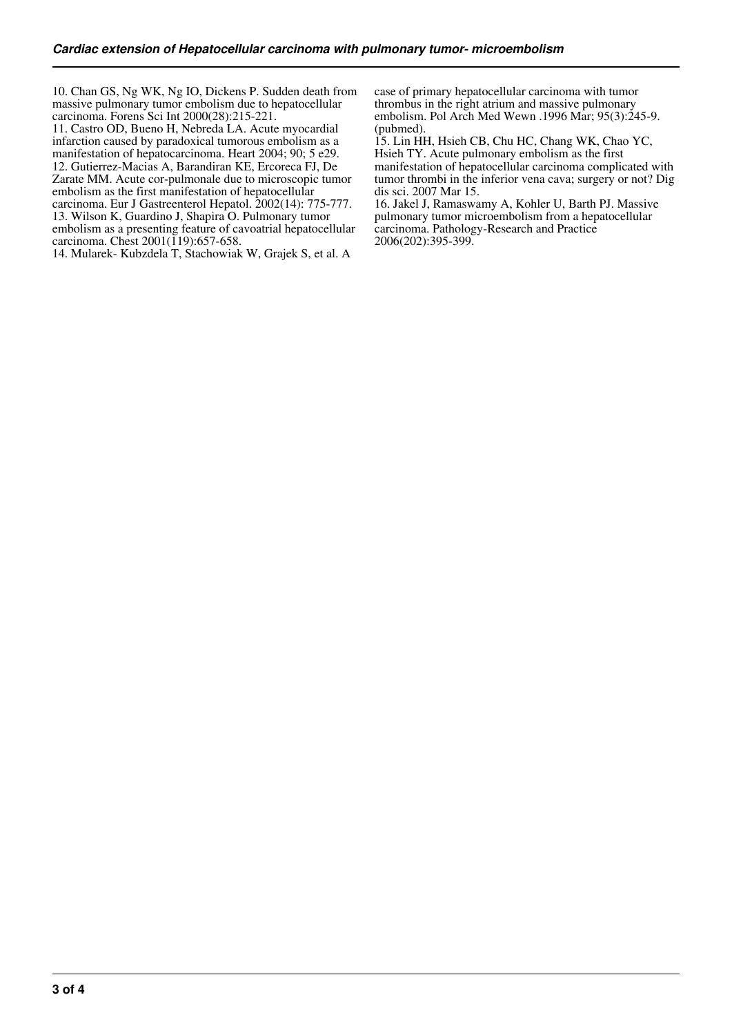10. Chan GS, Ng WK, Ng IO, Dickens P. Sudden death from massive pulmonary tumor embolism due to hepatocellular carcinoma. Forens Sci Int 2000(28):215-221.

11. Castro OD, Bueno H, Nebreda LA. Acute myocardial infarction caused by paradoxical tumorous embolism as a manifestation of hepatocarcinoma. Heart 2004; 90; 5 e29. 12. Gutierrez-Macias A, Barandiran KE, Ercoreca FJ, De Zarate MM. Acute cor-pulmonale due to microscopic tumor

embolism as the first manifestation of hepatocellular carcinoma. Eur J Gastreenterol Hepatol. 2002(14): 775-777. 13. Wilson K, Guardino J, Shapira O. Pulmonary tumor

embolism as a presenting feature of cavoatrial hepatocellular carcinoma. Chest 2001(119):657-658.

14. Mularek- Kubzdela T, Stachowiak W, Grajek S, et al. A

case of primary hepatocellular carcinoma with tumor thrombus in the right atrium and massive pulmonary embolism. Pol Arch Med Wewn .1996 Mar; 95(3):245-9. (pubmed).

15. Lin HH, Hsieh CB, Chu HC, Chang WK, Chao YC, Hsieh TY. Acute pulmonary embolism as the first manifestation of hepatocellular carcinoma complicated with tumor thrombi in the inferior vena cava; surgery or not? Dig dis sci. 2007 Mar 15.

16. Jakel J, Ramaswamy A, Kohler U, Barth PJ. Massive pulmonary tumor microembolism from a hepatocellular carcinoma. Pathology-Research and Practice 2006(202):395-399.